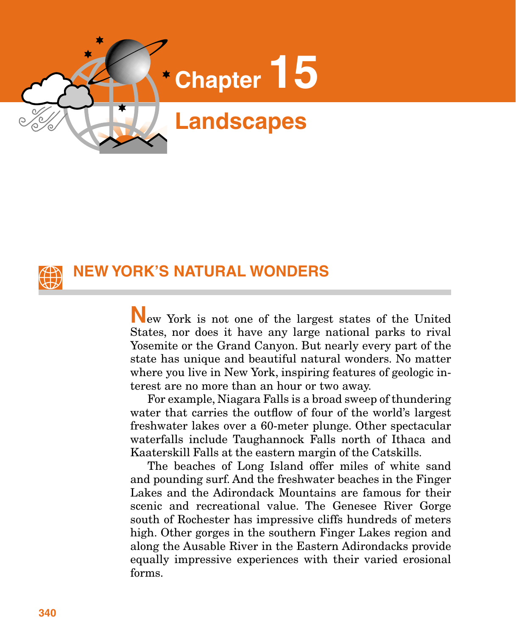

# **NEW YORK'S NATURAL WONDERS**

**N**ew York is not one of the largest states of the United States, nor does it have any large national parks to rival Yosemite or the Grand Canyon. But nearly every part of the state has unique and beautiful natural wonders. No matter where you live in New York, inspiring features of geologic interest are no more than an hour or two away.

For example, Niagara Falls is a broad sweep of thundering water that carries the outflow of four of the world's largest freshwater lakes over a 60-meter plunge. Other spectacular waterfalls include Taughannock Falls north of Ithaca and Kaaterskill Falls at the eastern margin of the Catskills.

The beaches of Long Island offer miles of white sand and pounding surf. And the freshwater beaches in the Finger Lakes and the Adirondack Mountains are famous for their scenic and recreational value. The Genesee River Gorge south of Rochester has impressive cliffs hundreds of meters high. Other gorges in the southern Finger Lakes region and along the Ausable River in the Eastern Adirondacks provide equally impressive experiences with their varied erosional forms.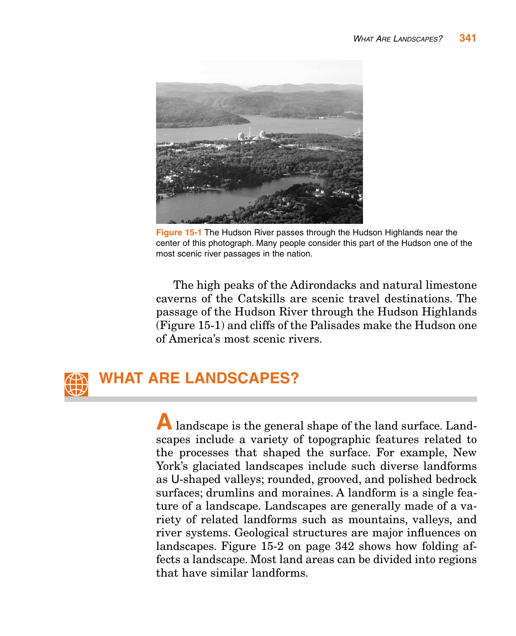

**Figure 15-1** The Hudson River passes through the Hudson Highlands near the center of this photograph. Many people consider this part of the Hudson one of the most scenic river passages in the nation.

The high peaks of the Adirondacks and natural limestone caverns of the Catskills are scenic travel destinations. The passage of the Hudson River through the Hudson Highlands (Figure 15-1) and cliffs of the Palisades make the Hudson one of America's most scenic rivers.

# **WHAT ARE LANDSCAPES?**

**A**landscape is the general shape of the land surface. Landscapes include a variety of topographic features related to the processes that shaped the surface. For example, New York's glaciated landscapes include such diverse landforms as U-shaped valleys; rounded, grooved, and polished bedrock surfaces; drumlins and moraines. A landform is a single feature of a landscape. Landscapes are generally made of a variety of related landforms such as mountains, valleys, and river systems. Geological structures are major influences on landscapes. Figure 15-2 on page 342 shows how folding affects a landscape. Most land areas can be divided into regions that have similar landforms.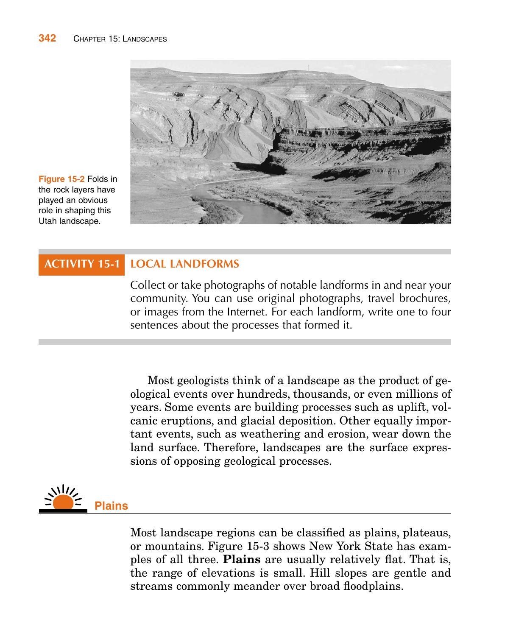

**Figure 15-2** Folds in the rock layers have played an obvious role in shaping this Utah landscape.

# **ACTIVITY 15-1 LOCAL LANDFORMS**

Collect or take photographs of notable landforms in and near your community. You can use original photographs, travel brochures, or images from the Internet. For each landform, write one to four sentences about the processes that formed it.

Most geologists think of a landscape as the product of geological events over hundreds, thousands, or even millions of years. Some events are building processes such as uplift, volcanic eruptions, and glacial deposition. Other equally important events, such as weathering and erosion, wear down the land surface. Therefore, landscapes are the surface expressions of opposing geological processes.



Most landscape regions can be classified as plains, plateaus, or mountains. Figure 15-3 shows New York State has examples of all three. **Plains** are usually relatively flat. That is, the range of elevations is small. Hill slopes are gentle and streams commonly meander over broad floodplains.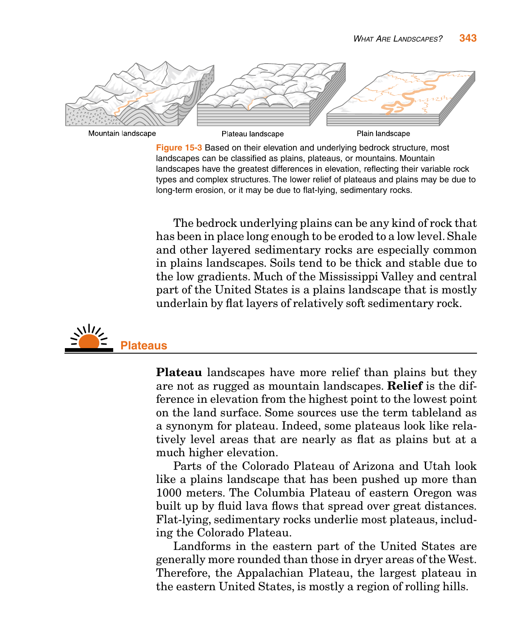

Plateau landscape

**Figure 15-3** Based on their elevation and underlying bedrock structure, most landscapes can be classified as plains, plateaus, or mountains. Mountain landscapes have the greatest differences in elevation, reflecting their variable rock types and complex structures. The lower relief of plateaus and plains may be due to long-term erosion, or it may be due to flat-lying, sedimentary rocks.

The bedrock underlying plains can be any kind of rock that has been in place long enough to be eroded to a low level. Shale and other layered sedimentary rocks are especially common in plains landscapes. Soils tend to be thick and stable due to the low gradients. Much of the Mississippi Valley and central part of the United States is a plains landscape that is mostly underlain by flat layers of relatively soft sedimentary rock.



**Plateau** landscapes have more relief than plains but they are not as rugged as mountain landscapes. **Relief** is the difference in elevation from the highest point to the lowest point on the land surface. Some sources use the term tableland as a synonym for plateau. Indeed, some plateaus look like relatively level areas that are nearly as flat as plains but at a much higher elevation.

Parts of the Colorado Plateau of Arizona and Utah look like a plains landscape that has been pushed up more than 1000 meters. The Columbia Plateau of eastern Oregon was built up by fluid lava flows that spread over great distances. Flat-lying, sedimentary rocks underlie most plateaus, including the Colorado Plateau.

Landforms in the eastern part of the United States are generally more rounded than those in dryer areas of the West. Therefore, the Appalachian Plateau, the largest plateau in the eastern United States, is mostly a region of rolling hills.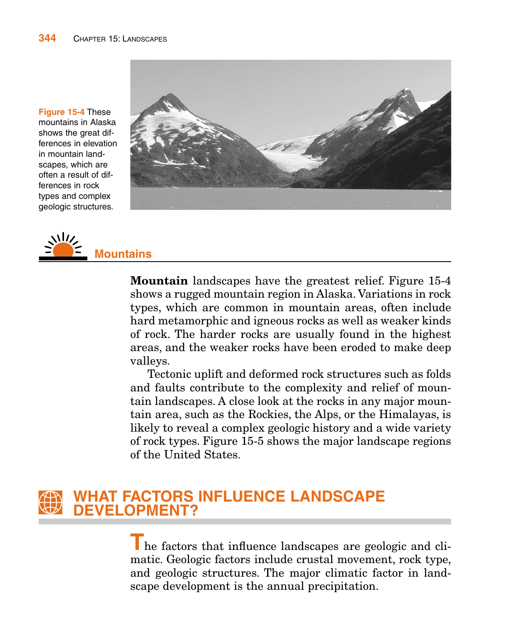**Figure 15-4** These mountains in Alaska shows the great differences in elevation in mountain landscapes, which are often a result of differences in rock types and complex geologic structures.





**Mountain** landscapes have the greatest relief. Figure 15-4 shows a rugged mountain region in Alaska. Variations in rock types, which are common in mountain areas, often include hard metamorphic and igneous rocks as well as weaker kinds of rock. The harder rocks are usually found in the highest areas, and the weaker rocks have been eroded to make deep valleys.

Tectonic uplift and deformed rock structures such as folds and faults contribute to the complexity and relief of mountain landscapes. A close look at the rocks in any major mountain area, such as the Rockies, the Alps, or the Himalayas, is likely to reveal a complex geologic history and a wide variety of rock types. Figure 15-5 shows the major landscape regions of the United States.

# **WHAT FACTORS INFLUENCE LANDSCAPE DEVELOPMENT?**

**The factors that influence landscapes are geologic and cli**matic. Geologic factors include crustal movement, rock type, and geologic structures. The major climatic factor in landscape development is the annual precipitation.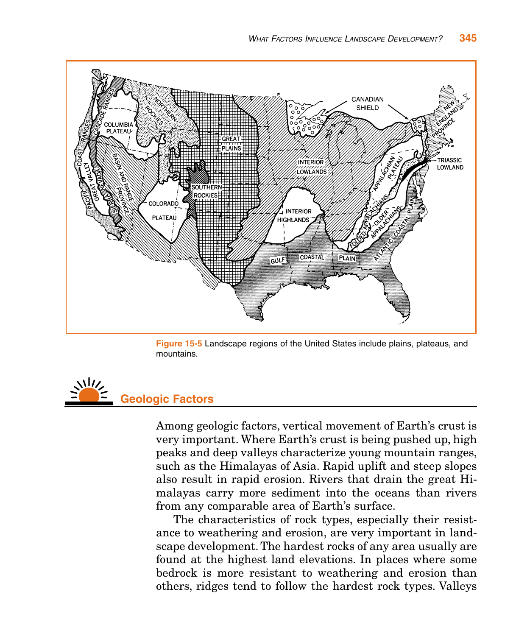

**Figure 15-5** Landscape regions of the United States include plains, plateaus, and mountains.



Among geologic factors, vertical movement of Earth's crust is very important. Where Earth's crust is being pushed up, high peaks and deep valleys characterize young mountain ranges, such as the Himalayas of Asia. Rapid uplift and steep slopes also result in rapid erosion. Rivers that drain the great Himalayas carry more sediment into the oceans than rivers from any comparable area of Earth's surface.

The characteristics of rock types, especially their resistance to weathering and erosion, are very important in landscape development. The hardest rocks of any area usually are found at the highest land elevations. In places where some bedrock is more resistant to weathering and erosion than others, ridges tend to follow the hardest rock types. Valleys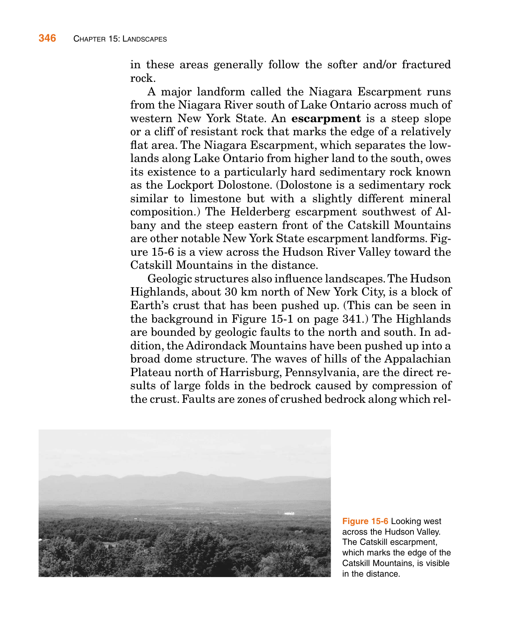in these areas generally follow the softer and/or fractured rock.

A major landform called the Niagara Escarpment runs from the Niagara River south of Lake Ontario across much of western New York State. An **escarpment** is a steep slope or a cliff of resistant rock that marks the edge of a relatively flat area. The Niagara Escarpment, which separates the lowlands along Lake Ontario from higher land to the south, owes its existence to a particularly hard sedimentary rock known as the Lockport Dolostone. (Dolostone is a sedimentary rock similar to limestone but with a slightly different mineral composition.) The Helderberg escarpment southwest of Albany and the steep eastern front of the Catskill Mountains are other notable New York State escarpment landforms. Figure 15-6 is a view across the Hudson River Valley toward the Catskill Mountains in the distance.

Geologic structures also influence landscapes.The Hudson Highlands, about 30 km north of New York City, is a block of Earth's crust that has been pushed up. (This can be seen in the background in Figure 15-1 on page 341.) The Highlands are bounded by geologic faults to the north and south. In addition, the Adirondack Mountains have been pushed up into a broad dome structure. The waves of hills of the Appalachian Plateau north of Harrisburg, Pennsylvania, are the direct results of large folds in the bedrock caused by compression of the crust. Faults are zones of crushed bedrock along which rel-



**Figure 15-6** Looking west across the Hudson Valley. The Catskill escarpment, which marks the edge of the Catskill Mountains, is visible in the distance.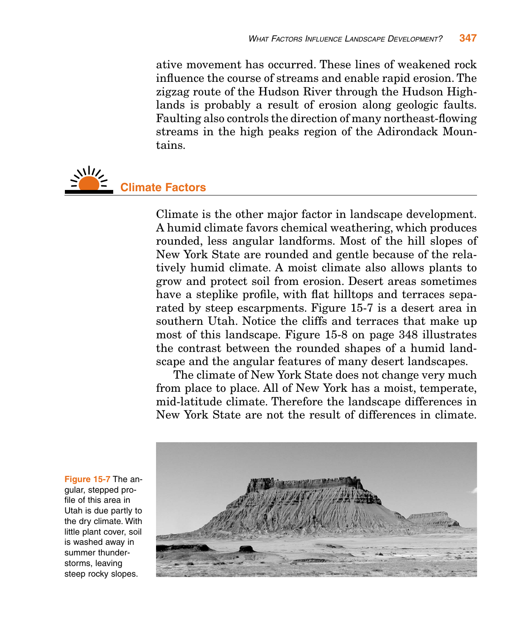ative movement has occurred. These lines of weakened rock influence the course of streams and enable rapid erosion. The zigzag route of the Hudson River through the Hudson Highlands is probably a result of erosion along geologic faults. Faulting also controls the direction of many northeast-flowing streams in the high peaks region of the Adirondack Mountains.



Climate is the other major factor in landscape development. A humid climate favors chemical weathering, which produces rounded, less angular landforms. Most of the hill slopes of New York State are rounded and gentle because of the relatively humid climate. A moist climate also allows plants to grow and protect soil from erosion. Desert areas sometimes have a steplike profile, with flat hilltops and terraces separated by steep escarpments. Figure 15-7 is a desert area in southern Utah. Notice the cliffs and terraces that make up most of this landscape. Figure 15-8 on page 348 illustrates the contrast between the rounded shapes of a humid landscape and the angular features of many desert landscapes.

The climate of New York State does not change very much from place to place. All of New York has a moist, temperate, mid-latitude climate. Therefore the landscape differences in New York State are not the result of differences in climate.

**Figure 15-7** The angular, stepped profile of this area in Utah is due partly to the dry climate. With little plant cover, soil is washed away in summer thunderstorms, leaving steep rocky slopes.

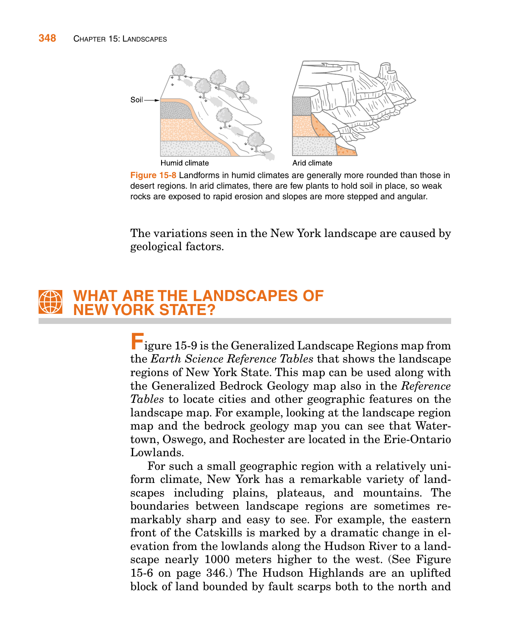

**Figure 15-8** Landforms in humid climates are generally more rounded than those in desert regions. In arid climates, there are few plants to hold soil in place, so weak rocks are exposed to rapid erosion and slopes are more stepped and angular.

The variations seen in the New York landscape are caused by geological factors.

# **WHAT ARE THE LANDSCAPES OF NEW YORK STATE?**

**F**igure 15-9 is the Generalized Landscape Regions map from the *Earth Science Reference Tables* that shows the landscape regions of New York State. This map can be used along with the Generalized Bedrock Geology map also in the *Reference Tables* to locate cities and other geographic features on the landscape map. For example, looking at the landscape region map and the bedrock geology map you can see that Watertown, Oswego, and Rochester are located in the Erie-Ontario Lowlands.

For such a small geographic region with a relatively uniform climate, New York has a remarkable variety of landscapes including plains, plateaus, and mountains. The boundaries between landscape regions are sometimes remarkably sharp and easy to see. For example, the eastern front of the Catskills is marked by a dramatic change in elevation from the lowlands along the Hudson River to a landscape nearly 1000 meters higher to the west. (See Figure 15-6 on page 346.) The Hudson Highlands are an uplifted block of land bounded by fault scarps both to the north and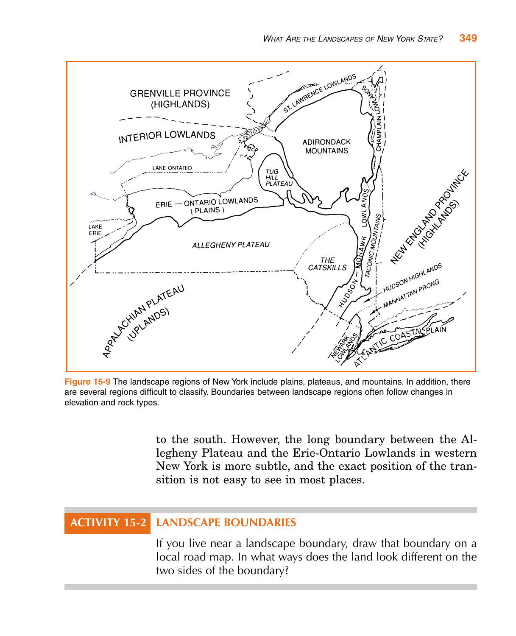

**Figure 15-9** The landscape regions of New York include plains, plateaus, and mountains. In addition, there are several regions difficult to classify. Boundaries between landscape regions often follow changes in elevation and rock types.

to the south. However, the long boundary between the Allegheny Plateau and the Erie-Ontario Lowlands in western New York is more subtle, and the exact position of the transition is not easy to see in most places.

#### **ACTIVITY 15-2 LANDSCAPE BOUNDARIES**

If you live near a landscape boundary, draw that boundary on a local road map. In what ways does the land look different on the two sides of the boundary?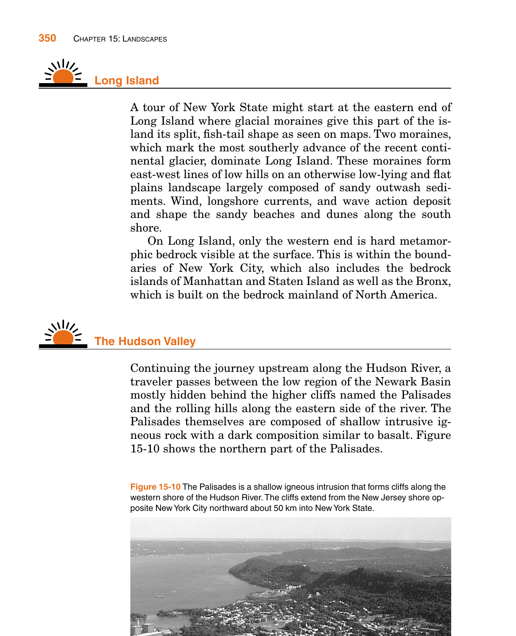

A tour of New York State might start at the eastern end of Long Island where glacial moraines give this part of the island its split, fish-tail shape as seen on maps. Two moraines, which mark the most southerly advance of the recent continental glacier, dominate Long Island. These moraines form east-west lines of low hills on an otherwise low-lying and flat plains landscape largely composed of sandy outwash sediments. Wind, longshore currents, and wave action deposit and shape the sandy beaches and dunes along the south shore.

On Long Island, only the western end is hard metamorphic bedrock visible at the surface. This is within the boundaries of New York City, which also includes the bedrock islands of Manhattan and Staten Island as well as the Bronx, which is built on the bedrock mainland of North America.



Continuing the journey upstream along the Hudson River, a traveler passes between the low region of the Newark Basin mostly hidden behind the higher cliffs named the Palisades and the rolling hills along the eastern side of the river. The Palisades themselves are composed of shallow intrusive igneous rock with a dark composition similar to basalt. Figure 15-10 shows the northern part of the Palisades.

**Figure 15-10** The Palisades is a shallow igneous intrusion that forms cliffs along the western shore of the Hudson River. The cliffs extend from the New Jersey shore opposite New York City northward about 50 km into New York State.

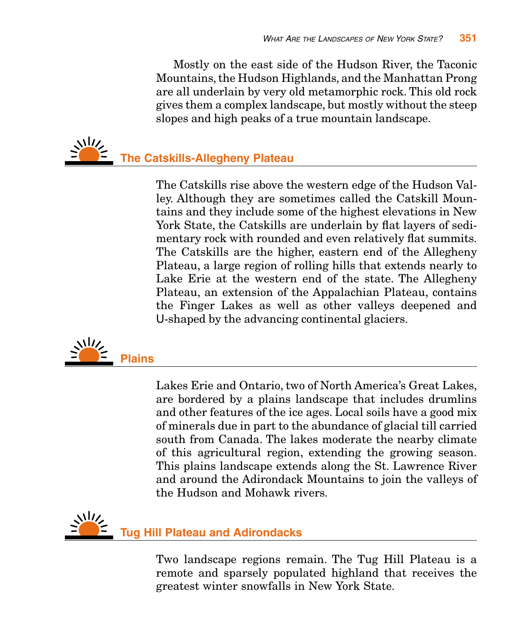Mostly on the east side of the Hudson River, the Taconic Mountains, the Hudson Highlands, and the Manhattan Prong are all underlain by very old metamorphic rock. This old rock gives them a complex landscape, but mostly without the steep slopes and high peaks of a true mountain landscape.



The Catskills rise above the western edge of the Hudson Valley. Although they are sometimes called the Catskill Mountains and they include some of the highest elevations in New York State, the Catskills are underlain by flat layers of sedimentary rock with rounded and even relatively flat summits. The Catskills are the higher, eastern end of the Allegheny Plateau, a large region of rolling hills that extends nearly to Lake Erie at the western end of the state. The Allegheny Plateau, an extension of the Appalachian Plateau, contains the Finger Lakes as well as other valleys deepened and U-shaped by the advancing continental glaciers.



Lakes Erie and Ontario, two of North America's Great Lakes, are bordered by a plains landscape that includes drumlins and other features of the ice ages. Local soils have a good mix of minerals due in part to the abundance of glacial till carried south from Canada. The lakes moderate the nearby climate of this agricultural region, extending the growing season. This plains landscape extends along the St. Lawrence River and around the Adirondack Mountains to join the valleys of the Hudson and Mohawk rivers.



Two landscape regions remain. The Tug Hill Plateau is a remote and sparsely populated highland that receives the greatest winter snowfalls in New York State.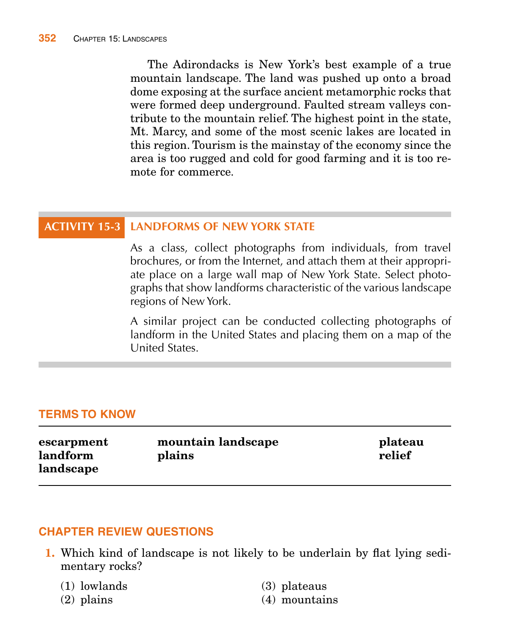The Adirondacks is New York's best example of a true mountain landscape. The land was pushed up onto a broad dome exposing at the surface ancient metamorphic rocks that were formed deep underground. Faulted stream valleys contribute to the mountain relief. The highest point in the state, Mt. Marcy, and some of the most scenic lakes are located in this region. Tourism is the mainstay of the economy since the area is too rugged and cold for good farming and it is too remote for commerce.

### **ACTIVITY 15-3 LANDFORMS OF NEW YORK STATE**

As a class, collect photographs from individuals, from travel brochures, or from the Internet, and attach them at their appropriate place on a large wall map of New York State. Select photographs that show landforms characteristic of the various landscape regions of New York.

A similar project can be conducted collecting photographs of landform in the United States and placing them on a map of the United States.

### **TERMS TO KNOW**

| landform<br>relief<br>plains<br>landscape | escarpment | mountain landscape | plateau |
|-------------------------------------------|------------|--------------------|---------|
|-------------------------------------------|------------|--------------------|---------|

## **CHAPTER REVIEW QUESTIONS**

- **1.** Which kind of landscape is not likely to be underlain by flat lying sedimentary rocks?
	- (1) lowlands (3) plateaus
		-
- 
- (2) plains (4) mountains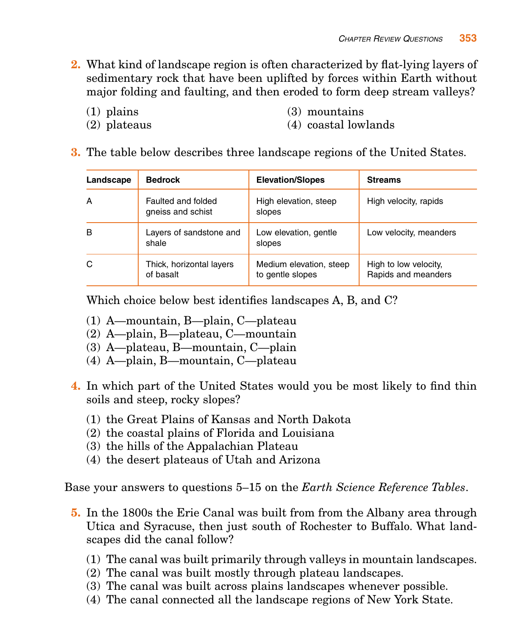- **2.** What kind of landscape region is often characterized by flat-lying layers of sedimentary rock that have been uplifted by forces within Earth without major folding and faulting, and then eroded to form deep stream valleys?
	-
	- (1) plains (3) mountains
	-
	- (2) plateaus (4) coastal lowlands
- **3.** The table below describes three landscape regions of the United States.

| Landscape | <b>Bedrock</b>                          | <b>Elevation/Slopes</b>                     | <b>Streams</b>                               |
|-----------|-----------------------------------------|---------------------------------------------|----------------------------------------------|
| A         | Faulted and folded<br>gneiss and schist | High elevation, steep<br>slopes             | High velocity, rapids                        |
| B         | Layers of sandstone and<br>shale        | Low elevation, gentle<br>slopes             | Low velocity, meanders                       |
| C         | Thick, horizontal layers<br>of basalt   | Medium elevation, steep<br>to gentle slopes | High to low velocity,<br>Rapids and meanders |

Which choice below best identifies landscapes A, B, and C?

- (1) A—mountain, B—plain, C—plateau
- (2) A—plain, B—plateau, C—mountain
- (3) A—plateau, B—mountain, C—plain
- (4) A—plain, B—mountain, C—plateau
- **4.** In which part of the United States would you be most likely to find thin soils and steep, rocky slopes?
	- (1) the Great Plains of Kansas and North Dakota
	- (2) the coastal plains of Florida and Louisiana
	- (3) the hills of the Appalachian Plateau
	- (4) the desert plateaus of Utah and Arizona

Base your answers to questions 5–15 on the *Earth Science Reference Tables*.

- **5.** In the 1800s the Erie Canal was built from from the Albany area through Utica and Syracuse, then just south of Rochester to Buffalo. What landscapes did the canal follow?
	- (1) The canal was built primarily through valleys in mountain landscapes.
	- (2) The canal was built mostly through plateau landscapes.
	- (3) The canal was built across plains landscapes whenever possible.
	- (4) The canal connected all the landscape regions of New York State.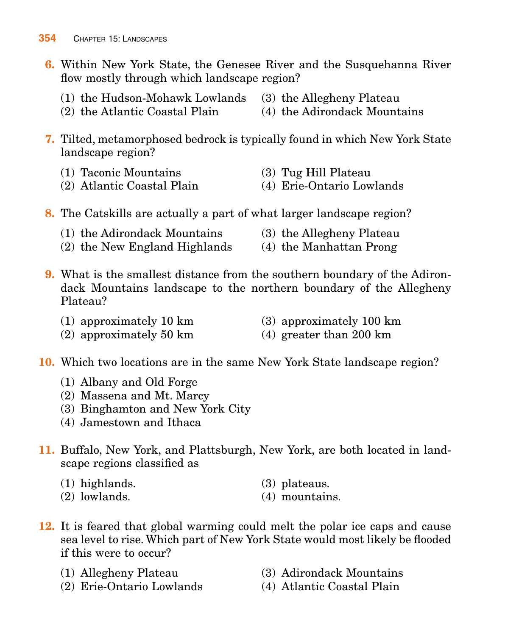- **6.** Within New York State, the Genesee River and the Susquehanna River flow mostly through which landscape region?
	- (1) the Hudson-Mohawk Lowlands (3) the Allegheny Plateau
	- (2) the Atlantic Coastal Plain (4) the Adirondack Mountains
- **7.** Tilted, metamorphosed bedrock is typically found in which New York State landscape region?
	- (1) Taconic Mountains (3) Tug Hill Plateau
	-
- 
- (2) Atlantic Coastal Plain (4) Erie-Ontario Lowlands
- **8.** The Catskills are actually a part of what larger landscape region?
	- (1) the Adirondack Mountains (3) the Allegheny Plateau
	- (2) the New England Highlands (4) the Manhattan Prong
- 
- 
- **9.** What is the smallest distance from the southern boundary of the Adirondack Mountains landscape to the northern boundary of the Allegheny Plateau?
	-
	- (1) approximately 10 km (3) approximately 100 km
	- (2) approximately 50 km (4) greater than 200 km
- **10.** Which two locations are in the same New York State landscape region?
	- (1) Albany and Old Forge
	- (2) Massena and Mt. Marcy
	- (3) Binghamton and New York City
	- (4) Jamestown and Ithaca
- **11.** Buffalo, New York, and Plattsburgh, New York, are both located in landscape regions classified as
	- (1) highlands. (3) plateaus.
	-
- 
- (2) lowlands. (4) mountains.
- **12.** It is feared that global warming could melt the polar ice caps and cause sea level to rise. Which part of New York State would most likely be flooded if this were to occur?
	-
	- (1) Allegheny Plateau (3) Adirondack Mountains
	- (2) Erie-Ontario Lowlands (4) Atlantic Coastal Plain
-